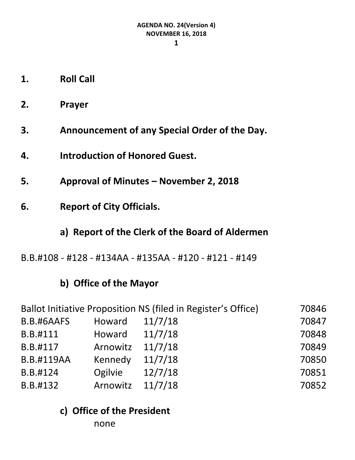- **1. Roll Call**
- **2. Prayer**
- **3. Announcement of any Special Order of the Day.**
- **4. Introduction of Honored Guest.**
- **5. Approval of Minutes – November 2, 2018**
- **6. Report of City Officials.**
	- **a) Report of the Clerk of the Board of Aldermen**
- B.B.#108 #128 #134AA #135AA #120 #121 #149

# **b) Office of the Mayor**

| Ballot Initiative Proposition NS (filed in Register's Office) |          |         | 70846 |
|---------------------------------------------------------------|----------|---------|-------|
| B.B.#6AAFS                                                    | Howard   | 11/7/18 | 70847 |
| B.B.#111                                                      | Howard   | 11/7/18 | 70848 |
| B.B.#117                                                      | Arnowitz | 11/7/18 | 70849 |
| <b>B.B.#119AA</b>                                             | Kennedy  | 11/7/18 | 70850 |
| B.B.#124                                                      | Ogilvie  | 12/7/18 | 70851 |
| B.B.#132                                                      | Arnowitz | 11/7/18 | 70852 |

**c) Office of the President**

none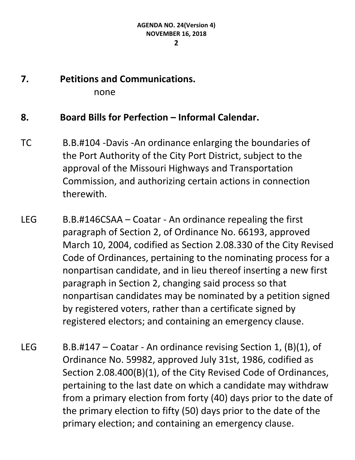# **7. Petitions and Communications.** none

## **8. Board Bills for Perfection – Informal Calendar.**

- TC B.B.#104 -Davis -An ordinance enlarging the boundaries of the Port Authority of the City Port District, subject to the approval of the Missouri Highways and Transportation Commission, and authorizing certain actions in connection therewith.
- LEG B.B.#146CSAA Coatar An ordinance repealing the first paragraph of Section 2, of Ordinance No. 66193, approved March 10, 2004, codified as Section 2.08.330 of the City Revised Code of Ordinances, pertaining to the nominating process for a nonpartisan candidate, and in lieu thereof inserting a new first paragraph in Section 2, changing said process so that nonpartisan candidates may be nominated by a petition signed by registered voters, rather than a certificate signed by registered electors; and containing an emergency clause.
- LEG B.B.#147 Coatar An ordinance revising Section 1,  $(B)(1)$ , of Ordinance No. 59982, approved July 31st, 1986, codified as Section 2.08.400(B)(1), of the City Revised Code of Ordinances, pertaining to the last date on which a candidate may withdraw from a primary election from forty (40) days prior to the date of the primary election to fifty (50) days prior to the date of the primary election; and containing an emergency clause.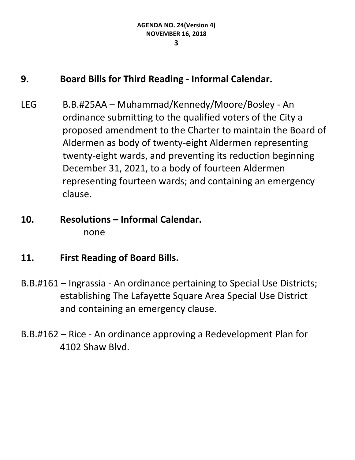## **9. Board Bills for Third Reading - Informal Calendar.**

- LEG B.B.#25AA Muhammad/Kennedy/Moore/Bosley An ordinance submitting to the qualified voters of the City a proposed amendment to the Charter to maintain the Board of Aldermen as body of twenty-eight Aldermen representing twenty-eight wards, and preventing its reduction beginning December 31, 2021, to a body of fourteen Aldermen representing fourteen wards; and containing an emergency clause.
- **10. Resolutions – Informal Calendar.** none
- **11. First Reading of Board Bills.**
- B.B.#161 Ingrassia An ordinance pertaining to Special Use Districts; establishing The Lafayette Square Area Special Use District and containing an emergency clause.
- B.B.#162 Rice An ordinance approving a Redevelopment Plan for 4102 Shaw Blvd.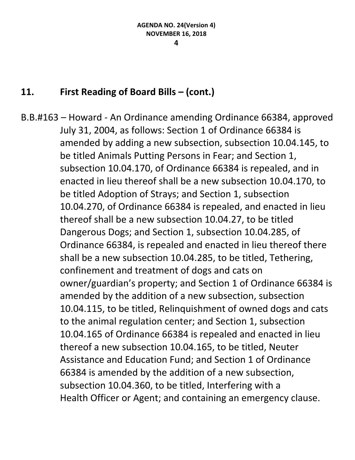# **11. First Reading of Board Bills – (cont.)**

B.B.#163 – Howard - An Ordinance amending Ordinance 66384, approved July 31, 2004, as follows: Section 1 of Ordinance 66384 is amended by adding a new subsection, subsection 10.04.145, to be titled Animals Putting Persons in Fear; and Section 1, subsection 10.04.170, of Ordinance 66384 is repealed, and in enacted in lieu thereof shall be a new subsection 10.04.170, to be titled Adoption of Strays; and Section 1, subsection 10.04.270, of Ordinance 66384 is repealed, and enacted in lieu thereof shall be a new subsection 10.04.27, to be titled Dangerous Dogs; and Section 1, subsection 10.04.285, of Ordinance 66384, is repealed and enacted in lieu thereof there shall be a new subsection 10.04.285, to be titled, Tethering, confinement and treatment of dogs and cats on owner/guardian's property; and Section 1 of Ordinance 66384 is amended by the addition of a new subsection, subsection 10.04.115, to be titled, Relinquishment of owned dogs and cats to the animal regulation center; and Section 1, subsection 10.04.165 of Ordinance 66384 is repealed and enacted in lieu thereof a new subsection 10.04.165, to be titled, Neuter Assistance and Education Fund; and Section 1 of Ordinance 66384 is amended by the addition of a new subsection, subsection 10.04.360, to be titled, Interfering with a Health Officer or Agent; and containing an emergency clause.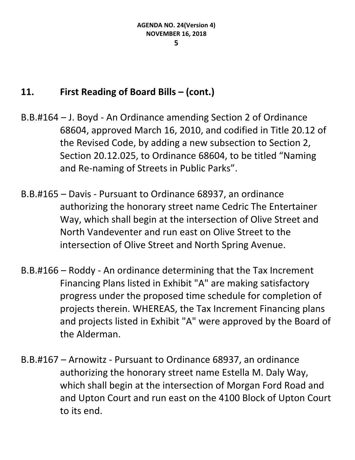## **11. First Reading of Board Bills – (cont.)**

- B.B.#164 J. Boyd An Ordinance amending Section 2 of Ordinance 68604, approved March 16, 2010, and codified in Title 20.12 of the Revised Code, by adding a new subsection to Section 2, Section 20.12.025, to Ordinance 68604, to be titled "Naming and Re-naming of Streets in Public Parks".
- B.B.#165 Davis Pursuant to Ordinance 68937, an ordinance authorizing the honorary street name Cedric The Entertainer Way, which shall begin at the intersection of Olive Street and North Vandeventer and run east on Olive Street to the intersection of Olive Street and North Spring Avenue.
- B.B.#166 Roddy An ordinance determining that the Tax Increment Financing Plans listed in Exhibit "A" are making satisfactory progress under the proposed time schedule for completion of projects therein. WHEREAS, the Tax Increment Financing plans and projects listed in Exhibit "A" were approved by the Board of the Alderman.
- B.B.#167 Arnowitz Pursuant to Ordinance 68937, an ordinance authorizing the honorary street name Estella M. Daly Way, which shall begin at the intersection of Morgan Ford Road and and Upton Court and run east on the 4100 Block of Upton Court to its end.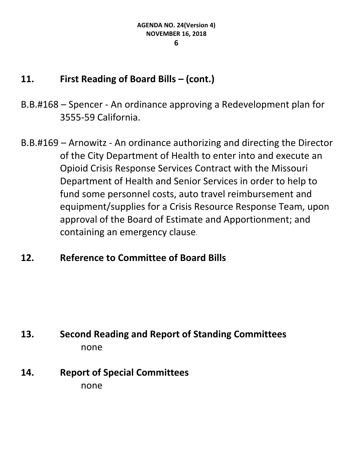## **11. First Reading of Board Bills – (cont.)**

- B.B.#168 Spencer An ordinance approving a Redevelopment plan for 3555-59 California.
- B.B.#169 Arnowitz An ordinance authorizing and directing the Director of the City Department of Health to enter into and execute an Opioid Crisis Response Services Contract with the Missouri Department of Health and Senior Services in order to help to fund some personnel costs, auto travel reimbursement and equipment/supplies for a Crisis Resource Response Team, upon approval of the Board of Estimate and Apportionment; and containing an emergency clause.

# **12. Reference to Committee of Board Bills**

# **13. Second Reading and Report of Standing Committees** none

# **14. Report of Special Committees** none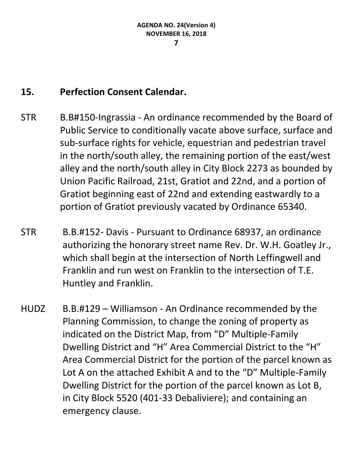# **15. Perfection Consent Calendar.**

- STR B.B#150-Ingrassia An ordinance recommended by the Board of Public Service to conditionally vacate above surface, surface and sub-surface rights for vehicle, equestrian and pedestrian travel in the north/south alley, the remaining portion of the east/west alley and the north/south alley in City Block 2273 as bounded by Union Pacific Railroad, 21st, Gratiot and 22nd, and a portion of Gratiot beginning east of 22nd and extending eastwardly to a portion of Gratiot previously vacated by Ordinance 65340.
- STR B.B.#152- Davis Pursuant to Ordinance 68937, an ordinance authorizing the honorary street name Rev. Dr. W.H. Goatley Jr., which shall begin at the intersection of North Leffingwell and Franklin and run west on Franklin to the intersection of T.E. Huntley and Franklin.
- HUDZ B.B.#129 Williamson An Ordinance recommended by the Planning Commission, to change the zoning of property as indicated on the District Map, from "D" Multiple-Family Dwelling District and "H" Area Commercial District to the "H" Area Commercial District for the portion of the parcel known as Lot A on the attached Exhibit A and to the "D" Multiple-Family Dwelling District for the portion of the parcel known as Lot B, in City Block 5520 (401-33 Debaliviere); and containing an emergency clause.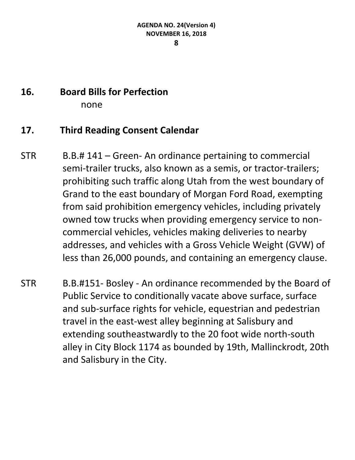# **16. Board Bills for Perfection**

none

## **17. Third Reading Consent Calendar**

- STR B.B.# 141 Green- An ordinance pertaining to commercial semi-trailer trucks, also known as a semis, or tractor-trailers; prohibiting such traffic along Utah from the west boundary of Grand to the east boundary of Morgan Ford Road, exempting from said prohibition emergency vehicles, including privately owned tow trucks when providing emergency service to noncommercial vehicles, vehicles making deliveries to nearby addresses, and vehicles with a Gross Vehicle Weight (GVW) of less than 26,000 pounds, and containing an emergency clause.
- STR B.B.#151- Bosley An ordinance recommended by the Board of Public Service to conditionally vacate above surface, surface and sub-surface rights for vehicle, equestrian and pedestrian travel in the east-west alley beginning at Salisbury and extending southeastwardly to the 20 foot wide north-south alley in City Block 1174 as bounded by 19th, Mallinckrodt, 20th and Salisbury in the City.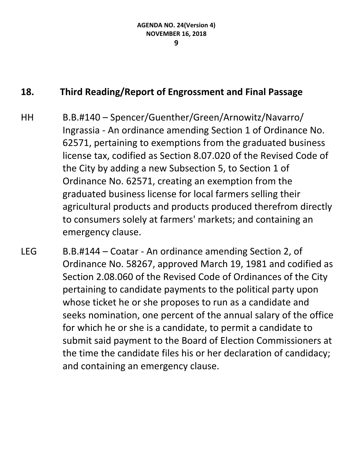# **18. Third Reading/Report of Engrossment and Final Passage**

- HH B.B.#140 Spencer/Guenther/Green/Arnowitz/Navarro/ Ingrassia - An ordinance amending Section 1 of Ordinance No. 62571, pertaining to exemptions from the graduated business license tax, codified as Section 8.07.020 of the Revised Code of the City by adding a new Subsection 5, to Section 1 of Ordinance No. 62571, creating an exemption from the graduated business license for local farmers selling their agricultural products and products produced therefrom directly to consumers solely at farmers' markets; and containing an emergency clause.
- LEG B.B.#144 Coatar An ordinance amending Section 2, of Ordinance No. 58267, approved March 19, 1981 and codified as Section 2.08.060 of the Revised Code of Ordinances of the City pertaining to candidate payments to the political party upon whose ticket he or she proposes to run as a candidate and seeks nomination, one percent of the annual salary of the office for which he or she is a candidate, to permit a candidate to submit said payment to the Board of Election Commissioners at the time the candidate files his or her declaration of candidacy; and containing an emergency clause.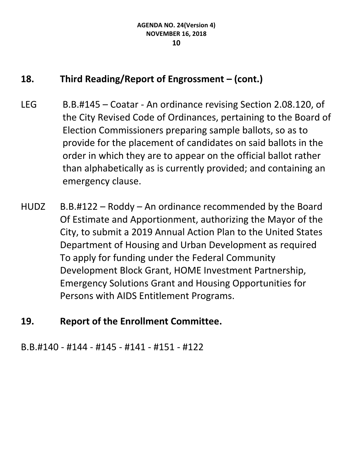# **18. Third Reading/Report of Engrossment – (cont.)**

- LEG B.B.#145 Coatar An ordinance revising Section 2.08.120, of the City Revised Code of Ordinances, pertaining to the Board of Election Commissioners preparing sample ballots, so as to provide for the placement of candidates on said ballots in the order in which they are to appear on the official ballot rather than alphabetically as is currently provided; and containing an emergency clause.
- HUDZ B.B.#122 Roddy An ordinance recommended by the Board Of Estimate and Apportionment, authorizing the Mayor of the City, to submit a 2019 Annual Action Plan to the United States Department of Housing and Urban Development as required To apply for funding under the Federal Community Development Block Grant, HOME Investment Partnership, Emergency Solutions Grant and Housing Opportunities for Persons with AIDS Entitlement Programs.
- **19. Report of the Enrollment Committee.**

B.B.#140 - #144 - #145 - #141 - #151 - #122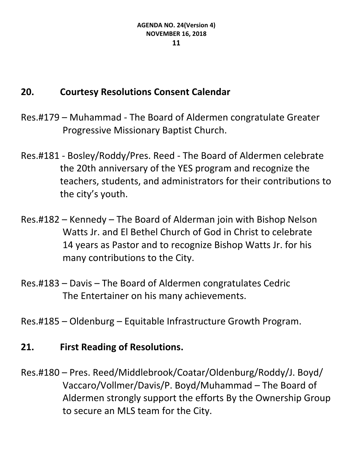# **20. Courtesy Resolutions Consent Calendar**

- Res.#179 Muhammad The Board of Aldermen congratulate Greater Progressive Missionary Baptist Church.
- Res.#181 Bosley/Roddy/Pres. Reed The Board of Aldermen celebrate the 20th anniversary of the YES program and recognize the teachers, students, and administrators for their contributions to the city's youth.
- Res.#182 Kennedy The Board of Alderman join with Bishop Nelson Watts Jr. and El Bethel Church of God in Christ to celebrate 14 years as Pastor and to recognize Bishop Watts Jr. for his many contributions to the City.
- Res.#183 Davis The Board of Aldermen congratulates Cedric The Entertainer on his many achievements.
- Res.#185 Oldenburg Equitable Infrastructure Growth Program.

## **21. First Reading of Resolutions.**

Res.#180 – Pres. Reed/Middlebrook/Coatar/Oldenburg/Roddy/J. Boyd/ Vaccaro/Vollmer/Davis/P. Boyd/Muhammad – The Board of Aldermen strongly support the efforts By the Ownership Group to secure an MLS team for the City.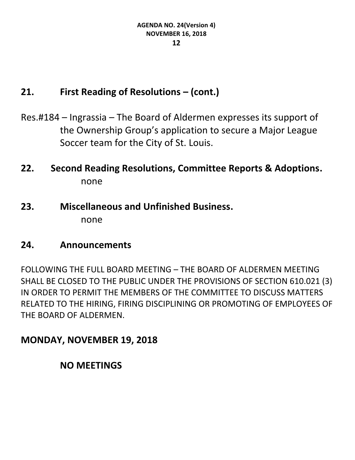# **21. First Reading of Resolutions – (cont.)**

- Res.#184 Ingrassia The Board of Aldermen expresses its support of the Ownership Group's application to secure a Major League Soccer team for the City of St. Louis.
- **22. Second Reading Resolutions, Committee Reports & Adoptions.** none
- **23. Miscellaneous and Unfinished Business.** none

## **24. Announcements**

FOLLOWING THE FULL BOARD MEETING – THE BOARD OF ALDERMEN MEETING SHALL BE CLOSED TO THE PUBLIC UNDER THE PROVISIONS OF SECTION 610.021 (3) IN ORDER TO PERMIT THE MEMBERS OF THE COMMITTEE TO DISCUSS MATTERS RELATED TO THE HIRING, FIRING DISCIPLINING OR PROMOTING OF EMPLOYEES OF THE BOARD OF ALDERMEN.

# **MONDAY, NOVEMBER 19, 2018**

## **NO MEETINGS**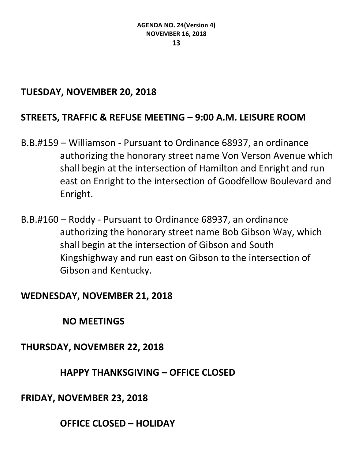## **TUESDAY, NOVEMBER 20, 2018**

## **STREETS, TRAFFIC & REFUSE MEETING – 9:00 A.M. LEISURE ROOM**

- B.B.#159 Williamson Pursuant to Ordinance 68937, an ordinance authorizing the honorary street name Von Verson Avenue which shall begin at the intersection of Hamilton and Enright and run east on Enright to the intersection of Goodfellow Boulevard and Enright.
- B.B.#160 Roddy Pursuant to Ordinance 68937, an ordinance authorizing the honorary street name Bob Gibson Way, which shall begin at the intersection of Gibson and South Kingshighway and run east on Gibson to the intersection of Gibson and Kentucky.

#### **WEDNESDAY, NOVEMBER 21, 2018**

**NO MEETINGS**

**THURSDAY, NOVEMBER 22, 2018**

## **HAPPY THANKSGIVING – OFFICE CLOSED**

**FRIDAY, NOVEMBER 23, 2018**

**OFFICE CLOSED – HOLIDAY**